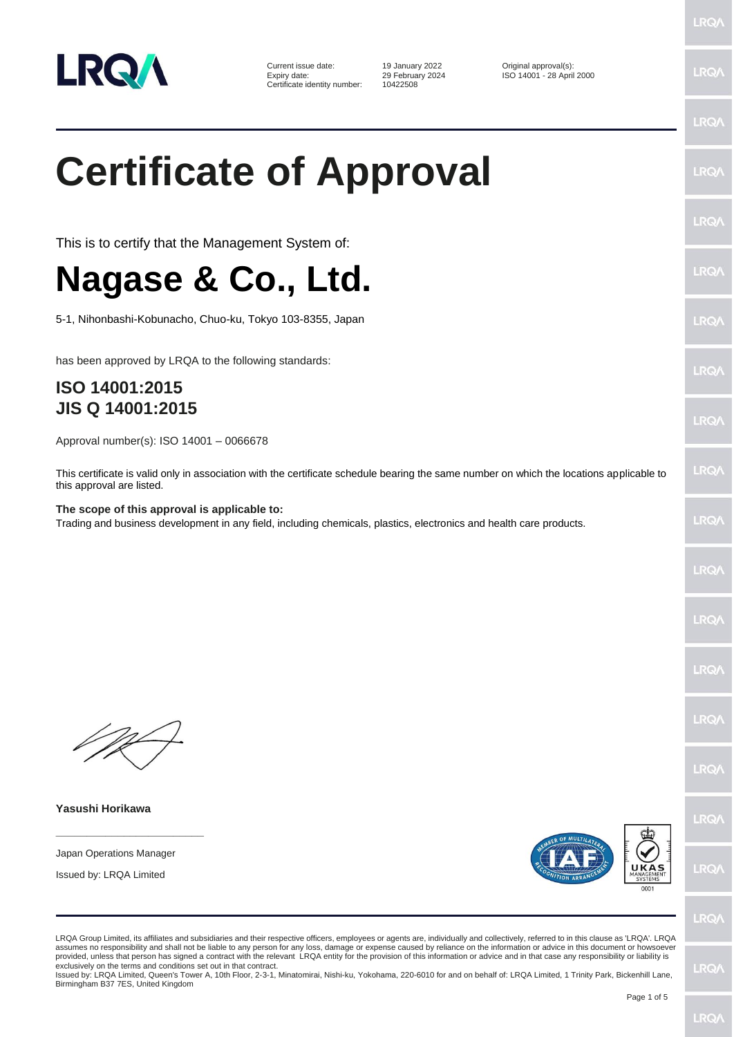

Current issue date: 19 January 2022 Criginal approval(s):<br>
Expiry date: 29 February 2024 ISO 14001 - 28 April Certificate identity number:

Expiry date: 29 February 2024 ISO 14001 - 28 April 2000

## **Certificate of Approval**

This is to certify that the Management System of:

## **Nagase & Co., Ltd.**

5-1, Nihonbashi-Kobunacho, Chuo-ku, Tokyo 103-8355, Japan

has been approved by LRQA to the following standards:

## **ISO 14001:2015 JIS Q 14001:2015**

Approval number(s): ISO 14001 – 0066678

This certificate is valid only in association with the certificate schedule bearing the same number on which the locations applicable to this approval are listed.

**The scope of this approval is applicable to:** Trading and business development in any field, including chemicals, plastics, electronics and health care products.

**Yasushi Horikawa**

Japan Operations Manager

**\_\_\_\_\_\_\_\_\_\_\_\_\_\_\_\_\_\_\_\_\_\_\_\_**

Issued by: LRQA Limited





 $PQ$ 

LRQA Group Limited, its affiliates and subsidiaries and their respective officers, employees or agents are, individually and collectively, referred to in this clause as 'LRQA'. LRQA assumes no responsibility and shall not be liable to any person for any loss, damage or expense caused by reliance on the information or advice in this document or howsoever provided, unless that person has signed a contract with the relevant LRQA entity for the provision of this information or advice and in that case any responsibility or liability is exclusively on the terms and conditions set out in that contract.

Issued by: LRQA Limited, Queen's Tower A, 10th Floor, 2-3-1, Minatomirai, Nishi-ku, Yokohama, 220-6010 for and on behalf of: LRQA Limited, 1 Trinity Park, Bickenhill Lane, Birmingham B37 7ES, United Kingdom

LRQ/

**LRQ/** 

LRO/

**IRQ/** 

LRQ.

LRQ/

LRQ/

**LRQ/** 

LRQ/

LRQ/

LRQ/

LRQ/

LRQ/

LRQ/

LRQ/

LRQ/

LRQ/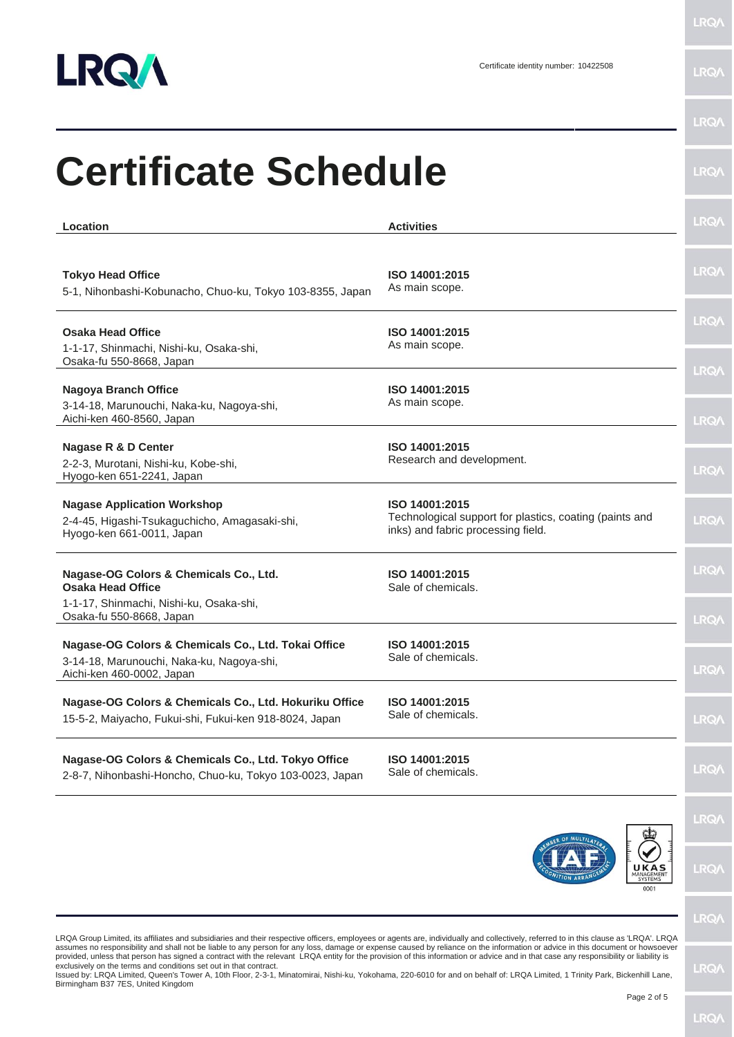

**LRQA** 

|                                                                                                                                                                                                                                                                                                                                                                                                                                                                                                                                                                                                                                                                 |                                                                                                                 | <b>LRQA</b>                |
|-----------------------------------------------------------------------------------------------------------------------------------------------------------------------------------------------------------------------------------------------------------------------------------------------------------------------------------------------------------------------------------------------------------------------------------------------------------------------------------------------------------------------------------------------------------------------------------------------------------------------------------------------------------------|-----------------------------------------------------------------------------------------------------------------|----------------------------|
| <b>Certificate Schedule</b>                                                                                                                                                                                                                                                                                                                                                                                                                                                                                                                                                                                                                                     |                                                                                                                 | <b>LRQA</b>                |
| Location                                                                                                                                                                                                                                                                                                                                                                                                                                                                                                                                                                                                                                                        | <b>Activities</b>                                                                                               | <b>LRQA</b>                |
| <b>Tokyo Head Office</b><br>5-1, Nihonbashi-Kobunacho, Chuo-ku, Tokyo 103-8355, Japan                                                                                                                                                                                                                                                                                                                                                                                                                                                                                                                                                                           | ISO 14001:2015<br>As main scope.                                                                                | <b>LRQA</b>                |
| <b>Osaka Head Office</b><br>1-1-17, Shinmachi, Nishi-ku, Osaka-shi,<br>Osaka-fu 550-8668, Japan                                                                                                                                                                                                                                                                                                                                                                                                                                                                                                                                                                 | ISO 14001:2015<br>As main scope.                                                                                | <b>LRQA</b>                |
| <b>Nagoya Branch Office</b><br>3-14-18, Marunouchi, Naka-ku, Nagoya-shi,<br>Aichi-ken 460-8560, Japan                                                                                                                                                                                                                                                                                                                                                                                                                                                                                                                                                           | ISO 14001:2015<br>As main scope.                                                                                | <b>LRQA</b><br><b>LRQA</b> |
| Nagase R & D Center<br>2-2-3, Murotani, Nishi-ku, Kobe-shi,<br>Hyogo-ken 651-2241, Japan                                                                                                                                                                                                                                                                                                                                                                                                                                                                                                                                                                        | ISO 14001:2015<br>Research and development.                                                                     | <b>LRQA</b>                |
| <b>Nagase Application Workshop</b><br>2-4-45, Higashi-Tsukaguchicho, Amagasaki-shi,<br>Hyogo-ken 661-0011, Japan                                                                                                                                                                                                                                                                                                                                                                                                                                                                                                                                                | ISO 14001:2015<br>Technological support for plastics, coating (paints and<br>inks) and fabric processing field. | <b>LRQA</b>                |
| Nagase-OG Colors & Chemicals Co., Ltd.<br><b>Osaka Head Office</b><br>1-1-17, Shinmachi, Nishi-ku, Osaka-shi,                                                                                                                                                                                                                                                                                                                                                                                                                                                                                                                                                   | ISO 14001:2015<br>Sale of chemicals.                                                                            | <b>LRQA</b>                |
| Osaka-fu 550-8668, Japan<br>Nagase-OG Colors & Chemicals Co., Ltd. Tokai Office<br>3-14-18, Marunouchi, Naka-ku, Nagoya-shi,<br>Aichi-ken 460-0002, Japan                                                                                                                                                                                                                                                                                                                                                                                                                                                                                                       | ISO 14001:2015<br>Sale of chemicals.                                                                            | LRQ/<br><b>LRQA</b>        |
| Nagase-OG Colors & Chemicals Co., Ltd. Hokuriku Office<br>15-5-2, Maiyacho, Fukui-shi, Fukui-ken 918-8024, Japan                                                                                                                                                                                                                                                                                                                                                                                                                                                                                                                                                | ISO 14001:2015<br>Sale of chemicals.                                                                            | <b>LRQA</b>                |
| Nagase-OG Colors & Chemicals Co., Ltd. Tokyo Office<br>2-8-7, Nihonbashi-Honcho, Chuo-ku, Tokyo 103-0023, Japan                                                                                                                                                                                                                                                                                                                                                                                                                                                                                                                                                 | ISO 14001:2015<br>Sale of chemicals.                                                                            | <b>LRQA</b>                |
|                                                                                                                                                                                                                                                                                                                                                                                                                                                                                                                                                                                                                                                                 |                                                                                                                 | <b>LRQA</b>                |
|                                                                                                                                                                                                                                                                                                                                                                                                                                                                                                                                                                                                                                                                 | UKAS<br>MANAGEMENT<br>SYSTEMS<br>0001                                                                           | <b>LRQA</b>                |
| LRQA Group Limited, its affiliates and subsidiaries and their respective officers, employees or agents are, individually and collectively, referred to in this clause as 'LRQA'. LRQA                                                                                                                                                                                                                                                                                                                                                                                                                                                                           |                                                                                                                 | <b>LRQA</b>                |
| assumes no responsibility and shall not be liable to any person for any loss, damage or expense caused by reliance on the information or advice in this document or howsoever<br>provided, unless that person has signed a contract with the relevant LRQA entity for the provision of this information or advice and in that case any responsibility or liability is<br>exclusively on the terms and conditions set out in that contract.<br>Issued by: LRQA Limited, Queen's Tower A, 10th Floor, 2-3-1, Minatomirai, Nishi-ku, Yokohama, 220-6010 for and on behalf of: LRQA Limited, 1 Trinity Park, Bickenhill Lane,<br>Birmingham B37 7ES, United Kingdom |                                                                                                                 | <b>LRQA</b>                |
|                                                                                                                                                                                                                                                                                                                                                                                                                                                                                                                                                                                                                                                                 | Page 2 of 5                                                                                                     | <b>LRQA</b>                |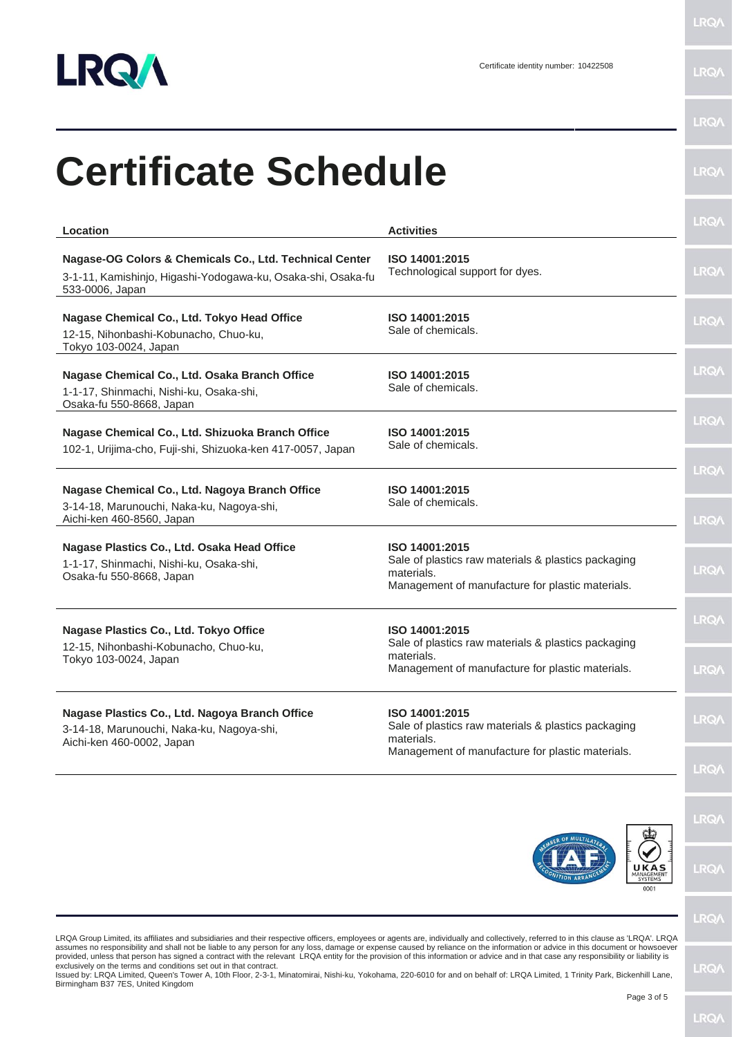

**LRQ/\** 

×

| Location                                                                                                                                   | <b>Activities</b>                                                                                                                       | <b>LRQA</b>                |
|--------------------------------------------------------------------------------------------------------------------------------------------|-----------------------------------------------------------------------------------------------------------------------------------------|----------------------------|
| Nagase-OG Colors & Chemicals Co., Ltd. Technical Center<br>3-1-11, Kamishinjo, Higashi-Yodogawa-ku, Osaka-shi, Osaka-fu<br>533-0006, Japan | ISO 14001:2015<br>Technological support for dyes.                                                                                       | <b>LRQA</b>                |
| Nagase Chemical Co., Ltd. Tokyo Head Office<br>12-15, Nihonbashi-Kobunacho, Chuo-ku,<br>Tokyo 103-0024, Japan                              | ISO 14001:2015<br>Sale of chemicals.                                                                                                    | <b>LRQA</b>                |
| Nagase Chemical Co., Ltd. Osaka Branch Office<br>1-1-17, Shinmachi, Nishi-ku, Osaka-shi,<br>Osaka-fu 550-8668, Japan                       | ISO 14001:2015<br>Sale of chemicals.                                                                                                    | <b>LRQA</b>                |
| Nagase Chemical Co., Ltd. Shizuoka Branch Office<br>102-1, Urijima-cho, Fuji-shi, Shizuoka-ken 417-0057, Japan                             | ISO 14001:2015<br>Sale of chemicals.                                                                                                    | <b>LRQA</b><br><b>LRQA</b> |
| Nagase Chemical Co., Ltd. Nagoya Branch Office<br>3-14-18, Marunouchi, Naka-ku, Nagoya-shi,<br>Aichi-ken 460-8560, Japan                   | ISO 14001:2015<br>Sale of chemicals.                                                                                                    | <b>LRQA</b>                |
| Nagase Plastics Co., Ltd. Osaka Head Office<br>1-1-17, Shinmachi, Nishi-ku, Osaka-shi,<br>Osaka-fu 550-8668, Japan                         | ISO 14001:2015<br>Sale of plastics raw materials & plastics packaging<br>materials.<br>Management of manufacture for plastic materials. | <b>LRQA</b>                |
| Nagase Plastics Co., Ltd. Tokyo Office<br>12-15, Nihonbashi-Kobunacho, Chuo-ku,<br>Tokyo 103-0024, Japan                                   | ISO 14001:2015<br>Sale of plastics raw materials & plastics packaging<br>materials.<br>Management of manufacture for plastic materials. | <b>LRQA</b><br><b>LRQA</b> |
| Nagase Plastics Co., Ltd. Nagoya Branch Office<br>3-14-18, Marunouchi, Naka-ku, Nagoya-shi,<br>Aichi-ken 460-0002, Japan                   | ISO 14001:2015<br>Sale of plastics raw materials & plastics packaging<br>materials.                                                     | <b>LRQA</b>                |
|                                                                                                                                            | Management of manufacture for plastic materials.                                                                                        | <b>LRQA</b>                |
|                                                                                                                                            |                                                                                                                                         | <b>LRQA</b>                |
|                                                                                                                                            | UKAS<br>MANAGEMENT<br>0001                                                                                                              | <b>LRQA</b>                |
|                                                                                                                                            |                                                                                                                                         | <b>LRQA</b>                |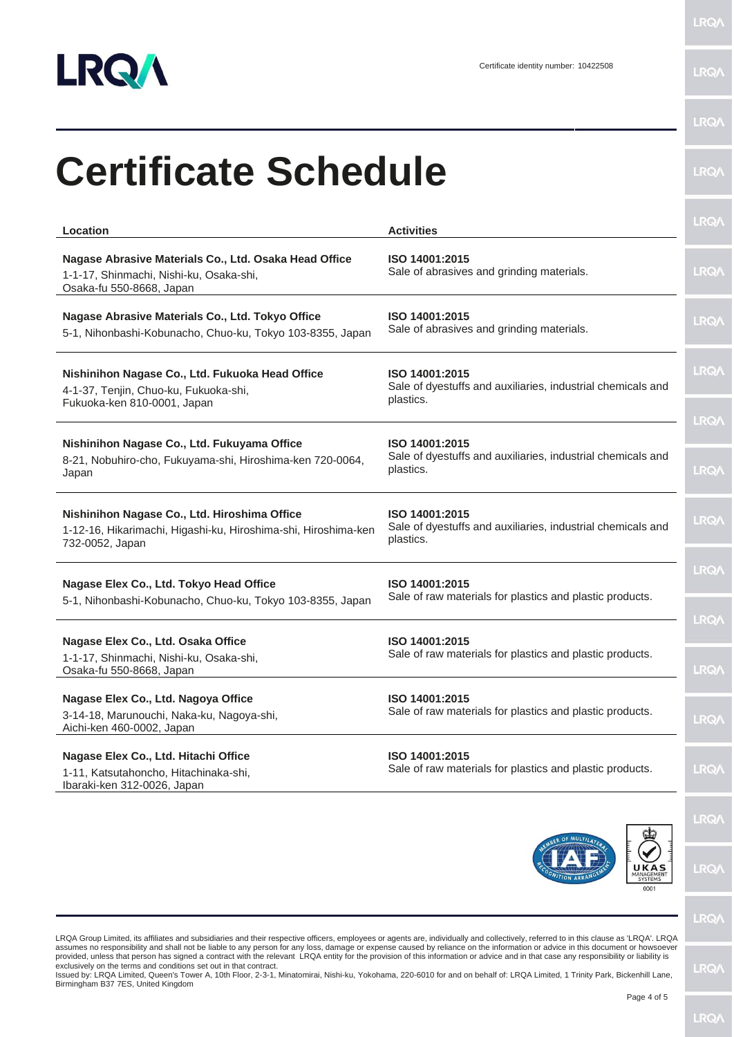

LRQ/\

**LRQA** 

| <b>Certificate Schedule</b>                                                                                                                                                                                                                                                                                                                                                                                                                                                                                                                                                                                                                                     |                                                                                            | <b>LRQA</b>                |
|-----------------------------------------------------------------------------------------------------------------------------------------------------------------------------------------------------------------------------------------------------------------------------------------------------------------------------------------------------------------------------------------------------------------------------------------------------------------------------------------------------------------------------------------------------------------------------------------------------------------------------------------------------------------|--------------------------------------------------------------------------------------------|----------------------------|
| Location                                                                                                                                                                                                                                                                                                                                                                                                                                                                                                                                                                                                                                                        | <b>Activities</b>                                                                          | <b>LRQA</b>                |
| Nagase Abrasive Materials Co., Ltd. Osaka Head Office<br>1-1-17, Shinmachi, Nishi-ku, Osaka-shi,<br>Osaka-fu 550-8668, Japan                                                                                                                                                                                                                                                                                                                                                                                                                                                                                                                                    | ISO 14001:2015<br>Sale of abrasives and grinding materials.                                | <b>LRQA</b>                |
| Nagase Abrasive Materials Co., Ltd. Tokyo Office<br>5-1, Nihonbashi-Kobunacho, Chuo-ku, Tokyo 103-8355, Japan                                                                                                                                                                                                                                                                                                                                                                                                                                                                                                                                                   | ISO 14001:2015<br>Sale of abrasives and grinding materials.                                | <b>LRQA</b>                |
| Nishinihon Nagase Co., Ltd. Fukuoka Head Office<br>4-1-37, Tenjin, Chuo-ku, Fukuoka-shi,<br>Fukuoka-ken 810-0001, Japan                                                                                                                                                                                                                                                                                                                                                                                                                                                                                                                                         | ISO 14001:2015<br>Sale of dyestuffs and auxiliaries, industrial chemicals and<br>plastics. | <b>LRQA</b>                |
| Nishinihon Nagase Co., Ltd. Fukuyama Office<br>8-21, Nobuhiro-cho, Fukuyama-shi, Hiroshima-ken 720-0064,<br>Japan                                                                                                                                                                                                                                                                                                                                                                                                                                                                                                                                               | ISO 14001:2015<br>Sale of dyestuffs and auxiliaries, industrial chemicals and<br>plastics. | <b>LRQA</b><br><b>LRQA</b> |
| Nishinihon Nagase Co., Ltd. Hiroshima Office<br>1-12-16, Hikarimachi, Higashi-ku, Hiroshima-shi, Hiroshima-ken<br>732-0052, Japan                                                                                                                                                                                                                                                                                                                                                                                                                                                                                                                               | ISO 14001:2015<br>Sale of dyestuffs and auxiliaries, industrial chemicals and<br>plastics. | <b>LRQA</b>                |
| Nagase Elex Co., Ltd. Tokyo Head Office<br>5-1, Nihonbashi-Kobunacho, Chuo-ku, Tokyo 103-8355, Japan                                                                                                                                                                                                                                                                                                                                                                                                                                                                                                                                                            | ISO 14001:2015<br>Sale of raw materials for plastics and plastic products.                 | <b>LRQA</b>                |
| Nagase Elex Co., Ltd. Osaka Office<br>1-1-17, Shinmachi, Nishi-ku, Osaka-shi,<br>Osaka-fu 550-8668, Japan                                                                                                                                                                                                                                                                                                                                                                                                                                                                                                                                                       | ISO 14001:2015<br>Sale of raw materials for plastics and plastic products.                 | <b>LRQA</b><br><b>LRQ/</b> |
| Nagase Elex Co., Ltd. Nagoya Office<br>3-14-18, Marunouchi, Naka-ku, Nagoya-shi,<br>Aichi-ken 460-0002, Japan                                                                                                                                                                                                                                                                                                                                                                                                                                                                                                                                                   | ISO 14001:2015<br>Sale of raw materials for plastics and plastic products.                 | <b>LRQA</b>                |
| Nagase Elex Co., Ltd. Hitachi Office<br>1-11, Katsutahoncho, Hitachinaka-shi,<br>Ibaraki-ken 312-0026, Japan                                                                                                                                                                                                                                                                                                                                                                                                                                                                                                                                                    | ISO 14001:2015<br>Sale of raw materials for plastics and plastic products.                 | <b>LRQA</b>                |
|                                                                                                                                                                                                                                                                                                                                                                                                                                                                                                                                                                                                                                                                 |                                                                                            | <b>LRQA</b>                |
|                                                                                                                                                                                                                                                                                                                                                                                                                                                                                                                                                                                                                                                                 | UKAS<br>0001                                                                               | <b>LRQA</b>                |
| LRQA Group Limited, its affiliates and subsidiaries and their respective officers, employees or agents are, individually and collectively, referred to in this clause as 'LRQA'. LRQA                                                                                                                                                                                                                                                                                                                                                                                                                                                                           |                                                                                            | <b>LRQA</b>                |
| assumes no responsibility and shall not be liable to any person for any loss, damage or expense caused by reliance on the information or advice in this document or howsoever<br>provided, unless that person has signed a contract with the relevant LRQA entity for the provision of this information or advice and in that case any responsibility or liability is<br>exclusively on the terms and conditions set out in that contract.<br>Issued by: LRQA Limited, Queen's Tower A, 10th Floor, 2-3-1, Minatomirai, Nishi-ku, Yokohama, 220-6010 for and on behalf of: LRQA Limited, 1 Trinity Park, Bickenhill Lane,<br>Birmingham B37 7ES, United Kingdom |                                                                                            | <b>LRQA</b>                |